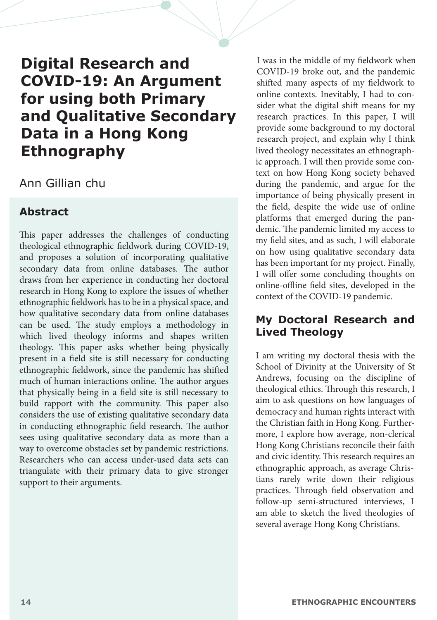# **Digital Research and COVID-19: An Argument for using both Primary and Qualitative Secondary Data in a Hong Kong Ethnography**

## Ann Gillian chu

## **Abstract**

This paper addresses the challenges of conducting theological ethnographic fieldwork during COVID-19, and proposes a solution of incorporating qualitative secondary data from online databases. The author draws from her experience in conducting her doctoral research in Hong Kong to explore the issues of whether ethnographic fieldwork has to be in a physical space, and how qualitative secondary data from online databases can be used. The study employs a methodology in which lived theology informs and shapes written theology. This paper asks whether being physically present in a field site is still necessary for conducting ethnographic fieldwork, since the pandemic has shifted much of human interactions online. The author argues that physically being in a field site is still necessary to build rapport with the community. This paper also considers the use of existing qualitative secondary data in conducting ethnographic field research. The author sees using qualitative secondary data as more than a way to overcome obstacles set by pandemic restrictions. Researchers who can access under-used data sets can triangulate with their primary data to give stronger support to their arguments.

I was in the middle of my fieldwork when COVID-19 broke out, and the pandemic shifted many aspects of my fieldwork to online contexts. Inevitably, I had to consider what the digital shift means for my research practices. In this paper, I will provide some background to my doctoral research project, and explain why I think lived theology necessitates an ethnographic approach. I will then provide some context on how Hong Kong society behaved during the pandemic, and argue for the importance of being physically present in the field, despite the wide use of online platforms that emerged during the pandemic. The pandemic limited my access to my field sites, and as such, I will elaborate on how using qualitative secondary data has been important for my project. Finally, I will offer some concluding thoughts on online-offline field sites, developed in the context of the COVID-19 pandemic.

## **My Doctoral Research and Lived Theology**

I am writing my doctoral thesis with the School of Divinity at the University of St Andrews, focusing on the discipline of theological ethics. Through this research, I aim to ask questions on how languages of democracy and human rights interact with the Christian faith in Hong Kong. Furthermore, I explore how average, non-clerical Hong Kong Christians reconcile their faith and civic identity. This research requires an ethnographic approach, as average Christians rarely write down their religious practices. Through field observation and follow-up semi-structured interviews, I am able to sketch the lived theologies of several average Hong Kong Christians.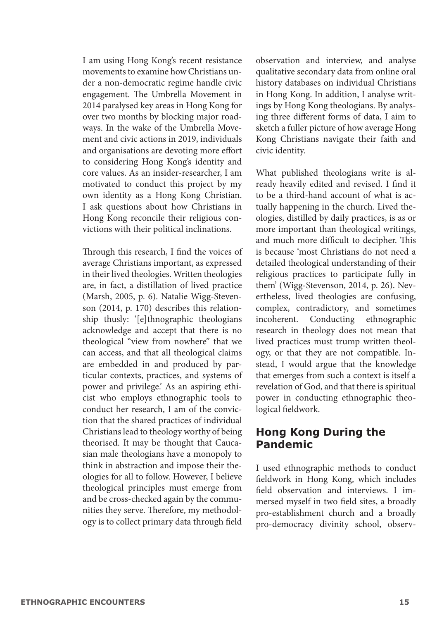I am using Hong Kong's recent resistance movements to examine how Christians under a non-democratic regime handle civic engagement. The Umbrella Movement in 2014 paralysed key areas in Hong Kong for over two months by blocking major roadways. In the wake of the Umbrella Movement and civic actions in 2019, individuals and organisations are devoting more effort to considering Hong Kong's identity and core values. As an insider-researcher, I am motivated to conduct this project by my own identity as a Hong Kong Christian. I ask questions about how Christians in Hong Kong reconcile their religious convictions with their political inclinations.

Through this research, I find the voices of average Christians important, as expressed in their lived theologies. Written theologies are, in fact, a distillation of lived practice (Marsh, 2005, p. 6). Natalie Wigg-Stevenson (2014, p. 170) describes this relationship thusly: '[e]thnographic theologians acknowledge and accept that there is no theological "view from nowhere" that we can access, and that all theological claims are embedded in and produced by particular contexts, practices, and systems of power and privilege.' As an aspiring ethicist who employs ethnographic tools to conduct her research, I am of the conviction that the shared practices of individual Christians lead to theology worthy of being theorised. It may be thought that Caucasian male theologians have a monopoly to think in abstraction and impose their theologies for all to follow. However, I believe theological principles must emerge from and be cross-checked again by the communities they serve. Therefore, my methodology is to collect primary data through field observation and interview, and analyse qualitative secondary data from online oral history databases on individual Christians in Hong Kong. In addition, I analyse writings by Hong Kong theologians. By analysing three different forms of data, I aim to sketch a fuller picture of how average Hong Kong Christians navigate their faith and civic identity.

What published theologians write is already heavily edited and revised. I find it to be a third-hand account of what is actually happening in the church. Lived theologies, distilled by daily practices, is as or more important than theological writings, and much more difficult to decipher. This is because 'most Christians do not need a detailed theological understanding of their religious practices to participate fully in them' (Wigg-Stevenson, 2014, p. 26). Nevertheless, lived theologies are confusing, complex, contradictory, and sometimes incoherent. Conducting ethnographic research in theology does not mean that lived practices must trump written theology, or that they are not compatible. Instead, I would argue that the knowledge that emerges from such a context is itself a revelation of God, and that there is spiritual power in conducting ethnographic theological fieldwork.

#### **Hong Kong During the Pandemic**

I used ethnographic methods to conduct fieldwork in Hong Kong, which includes field observation and interviews. I immersed myself in two field sites, a broadly pro-establishment church and a broadly pro-democracy divinity school, observ-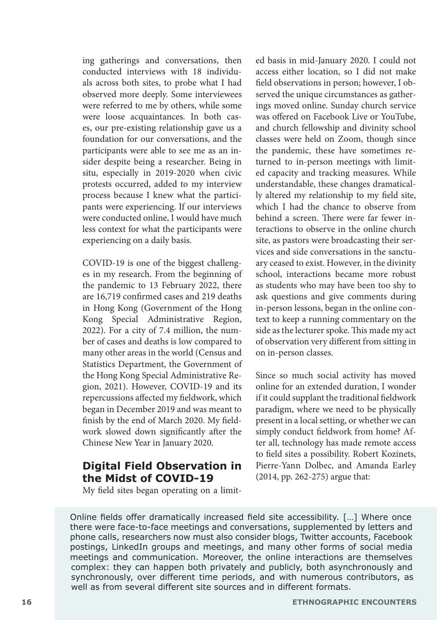ing gatherings and conversations, then conducted interviews with 18 individuals across both sites, to probe what I had observed more deeply. Some interviewees were referred to me by others, while some were loose acquaintances. In both cases, our pre-existing relationship gave us a foundation for our conversations, and the participants were able to see me as an insider despite being a researcher. Being in situ, especially in 2019-2020 when civic protests occurred, added to my interview process because I knew what the participants were experiencing. If our interviews were conducted online, I would have much less context for what the participants were experiencing on a daily basis.

COVID-19 is one of the biggest challenges in my research. From the beginning of the pandemic to 13 February 2022, there are 16,719 confirmed cases and 219 deaths in Hong Kong (Government of the Hong Kong Special Administrative Region, 2022). For a city of 7.4 million, the number of cases and deaths is low compared to many other areas in the world (Census and Statistics Department, the Government of the Hong Kong Special Administrative Region, 2021). However, COVID-19 and its repercussions affected my fieldwork, which began in December 2019 and was meant to finish by the end of March 2020. My fieldwork slowed down significantly after the Chinese New Year in January 2020.

### **Digital Field Observation in the Midst of COVID-19**

ed basis in mid-January 2020. I could not access either location, so I did not make field observations in person; however, I observed the unique circumstances as gatherings moved online. Sunday church service was offered on Facebook Live or YouTube and church fellowship and divinity school classes were held on Zoom, though since the pandemic, these have sometimes returned to in-person meetings with limited capacity and tracking measures. While understandable, these changes dramatically altered my relationship to my field site, which I had the chance to observe from behind a screen. There were far fewer interactions to observe in the online church site, as pastors were broadcasting their services and side conversations in the sanctuary ceased to exist. However, in the divinity school, interactions became more robust as students who may have been too shy to ask questions and give comments during in-person lessons, began in the online context to keep a running commentary on the side as the lecturer spoke. This made my act of observation very different from sitting in on in-person classes.

Since so much social activity has moved online for an extended duration, I wonder if it could supplant the traditional fieldwork paradigm, where we need to be physically present in a local setting, or whether we can simply conduct fieldwork from home? After all, technology has made remote access to field sites a possibility. Robert Kozinets, Pierre-Yann Dolbec, and Amanda Earley (2014, pp. 262-275) argue that:

My field sites began operating on a limit-

Online fields offer dramatically increased field site accessibility. […] Where once there were face-to-face meetings and conversations, supplemented by letters and phone calls, researchers now must also consider blogs, Twitter accounts, Facebook postings, LinkedIn groups and meetings, and many other forms of social media meetings and communication. Moreover, the online interactions are themselves complex: they can happen both privately and publicly, both asynchronously and synchronously, over different time periods, and with numerous contributors, as well as from several different site sources and in different formats.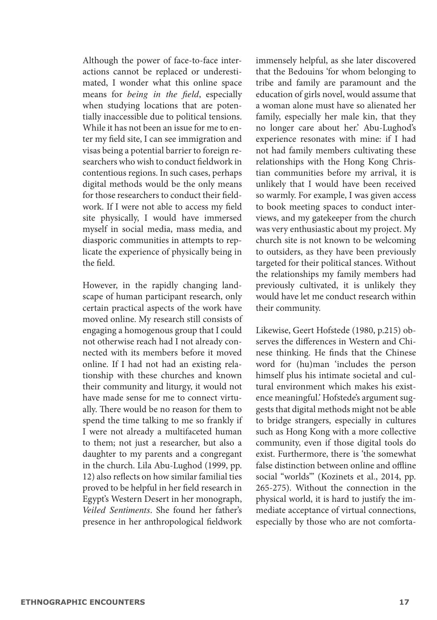Although the power of face-to-face interactions cannot be replaced or underestimated, I wonder what this online space means for *being in the field*, especially when studying locations that are potentially inaccessible due to political tensions. While it has not been an issue for me to enter my field site, I can see immigration and visas being a potential barrier to foreign researchers who wish to conduct fieldwork in contentious regions. In such cases, perhaps digital methods would be the only means for those researchers to conduct their fieldwork. If I were not able to access my field site physically, I would have immersed myself in social media, mass media, and diasporic communities in attempts to replicate the experience of physically being in the field.

However, in the rapidly changing landscape of human participant research, only certain practical aspects of the work have moved online. My research still consists of engaging a homogenous group that I could not otherwise reach had I not already connected with its members before it moved online. If I had not had an existing relationship with these churches and known their community and liturgy, it would not have made sense for me to connect virtually. There would be no reason for them to spend the time talking to me so frankly if I were not already a multifaceted human to them; not just a researcher, but also a daughter to my parents and a congregant in the church. Lila Abu-Lughod (1999, pp. 12) also reflects on how similar familial ties proved to be helpful in her field research in Egypt's Western Desert in her monograph, *Veiled Sentiments*. She found her father's presence in her anthropological fieldwork immensely helpful, as she later discovered that the Bedouins 'for whom belonging to tribe and family are paramount and the education of girls novel, would assume that a woman alone must have so alienated her family, especially her male kin, that they no longer care about her.' Abu-Lughod's experience resonates with mine: if I had not had family members cultivating these relationships with the Hong Kong Christian communities before my arrival, it is unlikely that I would have been received so warmly. For example, I was given access to book meeting spaces to conduct interviews, and my gatekeeper from the church was very enthusiastic about my project. My church site is not known to be welcoming to outsiders, as they have been previously targeted for their political stances. Without the relationships my family members had previously cultivated, it is unlikely they would have let me conduct research within their community.

Likewise, Geert Hofstede (1980, p.215) observes the differences in Western and Chinese thinking. He finds that the Chinese word for (hu)man 'includes the person himself plus his intimate societal and cultural environment which makes his existence meaningful.' Hofstede's argument suggests that digital methods might not be able to bridge strangers, especially in cultures such as Hong Kong with a more collective community, even if those digital tools do exist. Furthermore, there is 'the somewhat false distinction between online and offline social "worlds"' (Kozinets et al., 2014, pp. 265-275). Without the connection in the physical world, it is hard to justify the immediate acceptance of virtual connections, especially by those who are not comforta-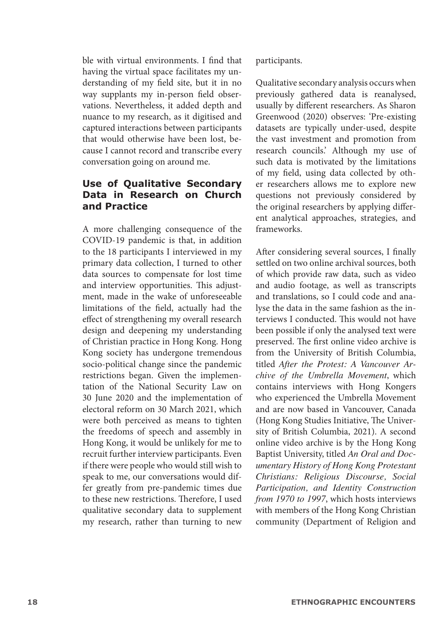ble with virtual environments. I find that having the virtual space facilitates my understanding of my field site, but it in no way supplants my in-person field observations. Nevertheless, it added depth and nuance to my research, as it digitised and captured interactions between participants that would otherwise have been lost, because I cannot record and transcribe every conversation going on around me.

#### **Use of Qualitative Secondary Data in Research on Church and Practice**

A more challenging consequence of the COVID-19 pandemic is that, in addition to the 18 participants I interviewed in my primary data collection, I turned to other data sources to compensate for lost time and interview opportunities. This adjustment, made in the wake of unforeseeable limitations of the field, actually had the effect of strengthening my overall research design and deepening my understanding of Christian practice in Hong Kong. Hong Kong society has undergone tremendous socio-political change since the pandemic restrictions began. Given the implementation of the National Security Law on 30 June 2020 and the implementation of electoral reform on 30 March 2021, which were both perceived as means to tighten the freedoms of speech and assembly in Hong Kong, it would be unlikely for me to recruit further interview participants. Even if there were people who would still wish to speak to me, our conversations would differ greatly from pre-pandemic times due to these new restrictions. Therefore, I used qualitative secondary data to supplement my research, rather than turning to new

participants.

Qualitative secondary analysis occurs when previously gathered data is reanalysed, usually by different researchers. As Sharon Greenwood (2020) observes: 'Pre-existing datasets are typically under-used, despite the vast investment and promotion from research councils.' Although my use of such data is motivated by the limitations of my field, using data collected by other researchers allows me to explore new questions not previously considered by the original researchers by applying different analytical approaches, strategies, and frameworks.

After considering several sources, I finally settled on two online archival sources, both of which provide raw data, such as video and audio footage, as well as transcripts and translations, so I could code and analyse the data in the same fashion as the interviews I conducted. This would not have been possible if only the analysed text were preserved. The first online video archive is from the University of British Columbia, titled *After the Protest: A Vancouver Archive of the Umbrella Movement*, which contains interviews with Hong Kongers who experienced the Umbrella Movement and are now based in Vancouver, Canada (Hong Kong Studies Initiative, The University of British Columbia, 2021). A second online video archive is by the Hong Kong Baptist University, titled *An Oral and Documentary History of Hong Kong Protestant Christians: Religious Discourse, Social Participation, and Identity Construction from 1970 to 1997*, which hosts interviews with members of the Hong Kong Christian community (Department of Religion and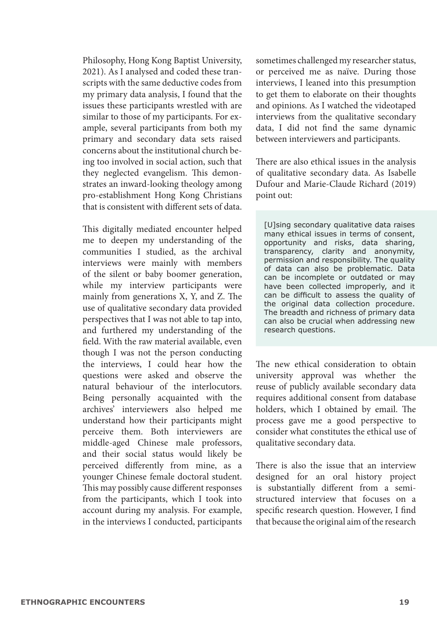Philosophy, Hong Kong Baptist University, 2021). As I analysed and coded these transcripts with the same deductive codes from my primary data analysis, I found that the issues these participants wrestled with are similar to those of my participants. For example, several participants from both my primary and secondary data sets raised concerns about the institutional church being too involved in social action, such that they neglected evangelism. This demonstrates an inward-looking theology among pro-establishment Hong Kong Christians that is consistent with different sets of data.

This digitally mediated encounter helped me to deepen my understanding of the communities I studied, as the archival interviews were mainly with members of the silent or baby boomer generation, while my interview participants were mainly from generations X, Y, and Z. The use of qualitative secondary data provided perspectives that I was not able to tap into, and furthered my understanding of the field. With the raw material available, even though I was not the person conducting the interviews, I could hear how the questions were asked and observe the natural behaviour of the interlocutors. Being personally acquainted with the archives' interviewers also helped me understand how their participants might perceive them. Both interviewers are middle-aged Chinese male professors, and their social status would likely be perceived differently from mine, as a younger Chinese female doctoral student. This may possibly cause different responses from the participants, which I took into account during my analysis. For example, in the interviews I conducted, participants sometimes challenged my researcher status, or perceived me as naïve. During those interviews, I leaned into this presumption to get them to elaborate on their thoughts and opinions. As I watched the videotaped interviews from the qualitative secondary data, I did not find the same dynamic between interviewers and participants.

There are also ethical issues in the analysis of qualitative secondary data. As Isabelle Dufour and Marie-Claude Richard (2019) point out:

[U]sing secondary qualitative data raises many ethical issues in terms of consent, opportunity and risks, data sharing, transparency, clarity and anonymity, permission and responsibility. The quality of data can also be problematic. Data can be incomplete or outdated or may have been collected improperly, and it can be difficult to assess the quality of the original data collection procedure. The breadth and richness of primary data can also be crucial when addressing new research questions.

The new ethical consideration to obtain university approval was whether the reuse of publicly available secondary data requires additional consent from database holders, which I obtained by email. The process gave me a good perspective to consider what constitutes the ethical use of qualitative secondary data.

There is also the issue that an interview designed for an oral history project is substantially different from a semistructured interview that focuses on a specific research question. However, I find that because the original aim of the research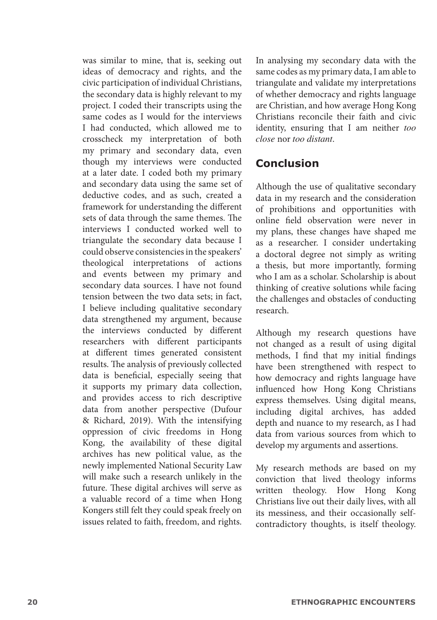was similar to mine, that is, seeking out ideas of democracy and rights, and the civic participation of individual Christians, the secondary data is highly relevant to my project. I coded their transcripts using the same codes as I would for the interviews I had conducted, which allowed me to crosscheck my interpretation of both my primary and secondary data, even though my interviews were conducted at a later date. I coded both my primary and secondary data using the same set of deductive codes, and as such, created a framework for understanding the different sets of data through the same themes. The interviews I conducted worked well to triangulate the secondary data because I could observe consistencies in the speakers' theological interpretations of actions and events between my primary and secondary data sources. I have not found tension between the two data sets; in fact, I believe including qualitative secondary data strengthened my argument, because the interviews conducted by different researchers with different participants at different times generated consistent results. The analysis of previously collected data is beneficial, especially seeing that it supports my primary data collection, and provides access to rich descriptive data from another perspective (Dufour & Richard, 2019). With the intensifying oppression of civic freedoms in Hong Kong, the availability of these digital archives has new political value, as the newly implemented National Security Law will make such a research unlikely in the future. These digital archives will serve as a valuable record of a time when Hong Kongers still felt they could speak freely on issues related to faith, freedom, and rights.

In analysing my secondary data with the same codes as my primary data, I am able to triangulate and validate my interpretations of whether democracy and rights language are Christian, and how average Hong Kong Christians reconcile their faith and civic identity, ensuring that I am neither *too close* nor *too distant*.

### **Conclusion**

Although the use of qualitative secondary data in my research and the consideration of prohibitions and opportunities with online field observation were never in my plans, these changes have shaped me as a researcher. I consider undertaking a doctoral degree not simply as writing a thesis, but more importantly, forming who I am as a scholar. Scholarship is about thinking of creative solutions while facing the challenges and obstacles of conducting research.

Although my research questions have not changed as a result of using digital methods, I find that my initial findings have been strengthened with respect to how democracy and rights language have influenced how Hong Kong Christians express themselves. Using digital means, including digital archives, has added depth and nuance to my research, as I had data from various sources from which to develop my arguments and assertions.

My research methods are based on my conviction that lived theology informs written theology. How Hong Kong Christians live out their daily lives, with all its messiness, and their occasionally selfcontradictory thoughts, is itself theology.